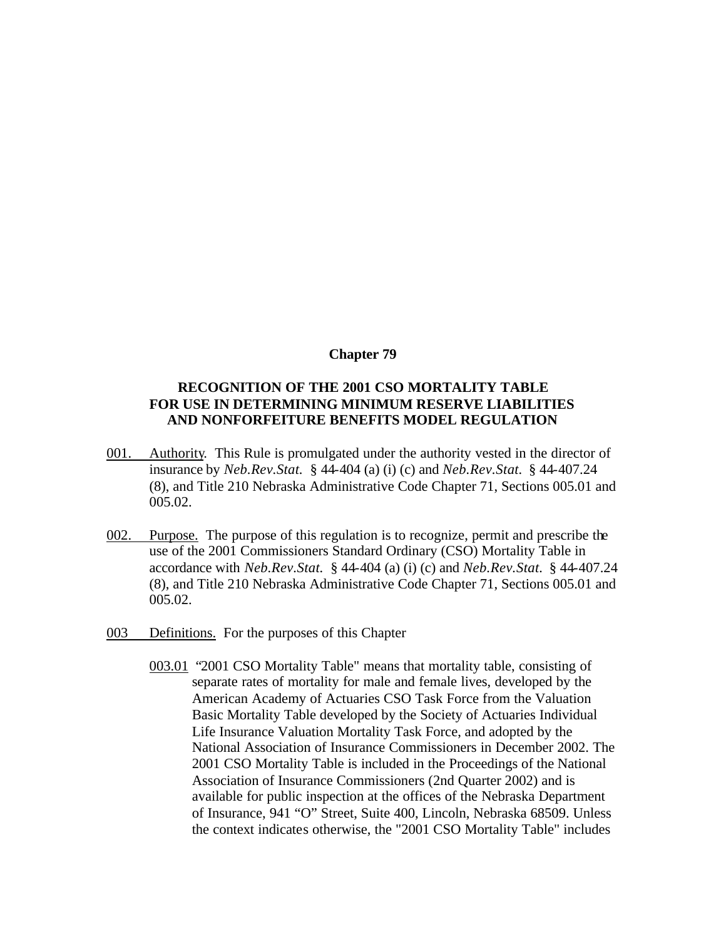### **Chapter 79**

# **RECOGNITION OF THE 2001 CSO MORTALITY TABLE FOR USE IN DETERMINING MINIMUM RESERVE LIABILITIES AND NONFORFEITURE BENEFITS MODEL REGULATION**

- 001. Authority. This Rule is promulgated under the authority vested in the director of insurance by *Neb.Rev.Stat.* § 44-404 (a) (i) (c) and *Neb.Rev.Stat.* § 44-407.24 (8), and Title 210 Nebraska Administrative Code Chapter 71, Sections 005.01 and 005.02.
- 002. Purpose. The purpose of this regulation is to recognize, permit and prescribe the use of the 2001 Commissioners Standard Ordinary (CSO) Mortality Table in accordance with *Neb.Rev.Stat.* § 44-404 (a) (i) (c) and *Neb.Rev.Stat.* § 44-407.24 (8), and Title 210 Nebraska Administrative Code Chapter 71, Sections 005.01 and 005.02.
- 003 Definitions. For the purposes of this Chapter
	- 003.01 "2001 CSO Mortality Table" means that mortality table, consisting of separate rates of mortality for male and female lives, developed by the American Academy of Actuaries CSO Task Force from the Valuation Basic Mortality Table developed by the Society of Actuaries Individual Life Insurance Valuation Mortality Task Force, and adopted by the National Association of Insurance Commissioners in December 2002. The 2001 CSO Mortality Table is included in the Proceedings of the National Association of Insurance Commissioners (2nd Quarter 2002) and is available for public inspection at the offices of the Nebraska Department of Insurance, 941 "O" Street, Suite 400, Lincoln, Nebraska 68509. Unless the context indicates otherwise, the "2001 CSO Mortality Table" includes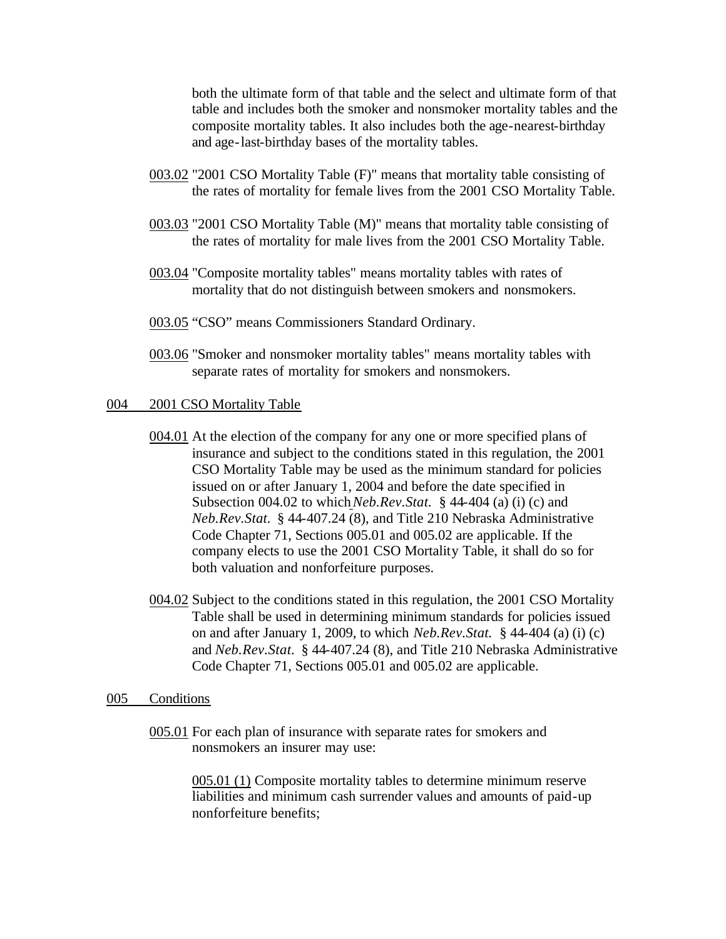both the ultimate form of that table and the select and ultimate form of that table and includes both the smoker and nonsmoker mortality tables and the composite mortality tables. It also includes both the age-nearest-birthday and age-last-birthday bases of the mortality tables.

- 003.02 "2001 CSO Mortality Table (F)" means that mortality table consisting of the rates of mortality for female lives from the 2001 CSO Mortality Table.
- 003.03 "2001 CSO Mortality Table (M)" means that mortality table consisting of the rates of mortality for male lives from the 2001 CSO Mortality Table.
- 003.04 "Composite mortality tables" means mortality tables with rates of mortality that do not distinguish between smokers and nonsmokers.
- 003.05 "CSO" means Commissioners Standard Ordinary.
- 003.06 "Smoker and nonsmoker mortality tables" means mortality tables with separate rates of mortality for smokers and nonsmokers.

#### 004 2001 CSO Mortality Table

- 004.01 At the election of the company for any one or more specified plans of insurance and subject to the conditions stated in this regulation, the 2001 CSO Mortality Table may be used as the minimum standard for policies issued on or after January 1, 2004 and before the date specified in Subsection 004.02 to which*Neb.Rev.Stat.* § 44-404 (a) (i) (c) and *Neb.Rev.Stat.* § 44-407.24 (8), and Title 210 Nebraska Administrative Code Chapter 71, Sections 005.01 and 005.02 are applicable. If the company elects to use the 2001 CSO Mortality Table, it shall do so for both valuation and nonforfeiture purposes.
- 004.02 Subject to the conditions stated in this regulation, the 2001 CSO Mortality Table shall be used in determining minimum standards for policies issued on and after January 1, 2009, to which *Neb.Rev.Stat.* § 44-404 (a) (i) (c) and *Neb.Rev.Stat.* § 44-407.24 (8), and Title 210 Nebraska Administrative Code Chapter 71, Sections 005.01 and 005.02 are applicable.

#### 005 Conditions

005.01 For each plan of insurance with separate rates for smokers and nonsmokers an insurer may use:

> 005.01 (1) Composite mortality tables to determine minimum reserve liabilities and minimum cash surrender values and amounts of paid-up nonforfeiture benefits;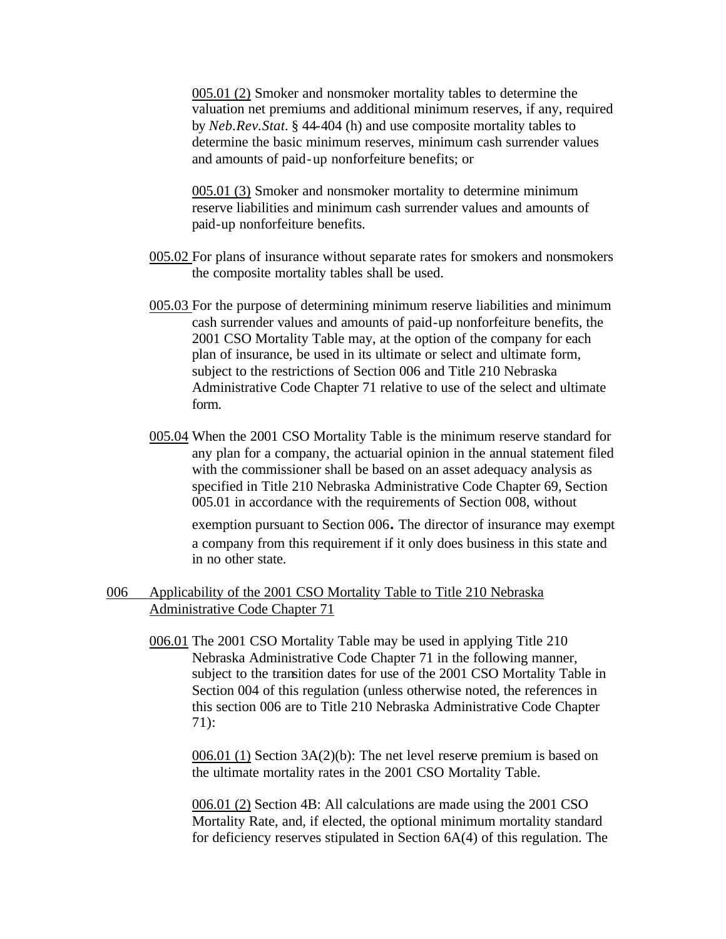005.01 (2) Smoker and nonsmoker mortality tables to determine the valuation net premiums and additional minimum reserves, if any, required by *Neb.Rev.Stat.* § 44-404 (h) and use composite mortality tables to determine the basic minimum reserves, minimum cash surrender values and amounts of paid-up nonforfeiture benefits; or

005.01 (3) Smoker and nonsmoker mortality to determine minimum reserve liabilities and minimum cash surrender values and amounts of paid-up nonforfeiture benefits.

- 005.02 For plans of insurance without separate rates for smokers and nonsmokers the composite mortality tables shall be used.
- 005.03 For the purpose of determining minimum reserve liabilities and minimum cash surrender values and amounts of paid-up nonforfeiture benefits, the 2001 CSO Mortality Table may, at the option of the company for each plan of insurance, be used in its ultimate or select and ultimate form, subject to the restrictions of Section 006 and Title 210 Nebraska Administrative Code Chapter 71 relative to use of the select and ultimate form.
- 005.04 When the 2001 CSO Mortality Table is the minimum reserve standard for any plan for a company, the actuarial opinion in the annual statement filed with the commissioner shall be based on an asset adequacy analysis as specified in Title 210 Nebraska Administrative Code Chapter 69, Section 005.01 in accordance with the requirements of Section 008, without

exemption pursuant to Section 006. The director of insurance may exempt a company from this requirement if it only does business in this state and in no other state.

## 006 Applicability of the 2001 CSO Mortality Table to Title 210 Nebraska Administrative Code Chapter 71

006.01 The 2001 CSO Mortality Table may be used in applying Title 210 Nebraska Administrative Code Chapter 71 in the following manner, subject to the transition dates for use of the 2001 CSO Mortality Table in Section 004 of this regulation (unless otherwise noted, the references in this section 006 are to Title 210 Nebraska Administrative Code Chapter 71):

006.01 (1) Section 3A(2)(b): The net level reserve premium is based on the ultimate mortality rates in the 2001 CSO Mortality Table.

006.01 (2) Section 4B: All calculations are made using the 2001 CSO Mortality Rate, and, if elected, the optional minimum mortality standard for deficiency reserves stipulated in Section 6A(4) of this regulation. The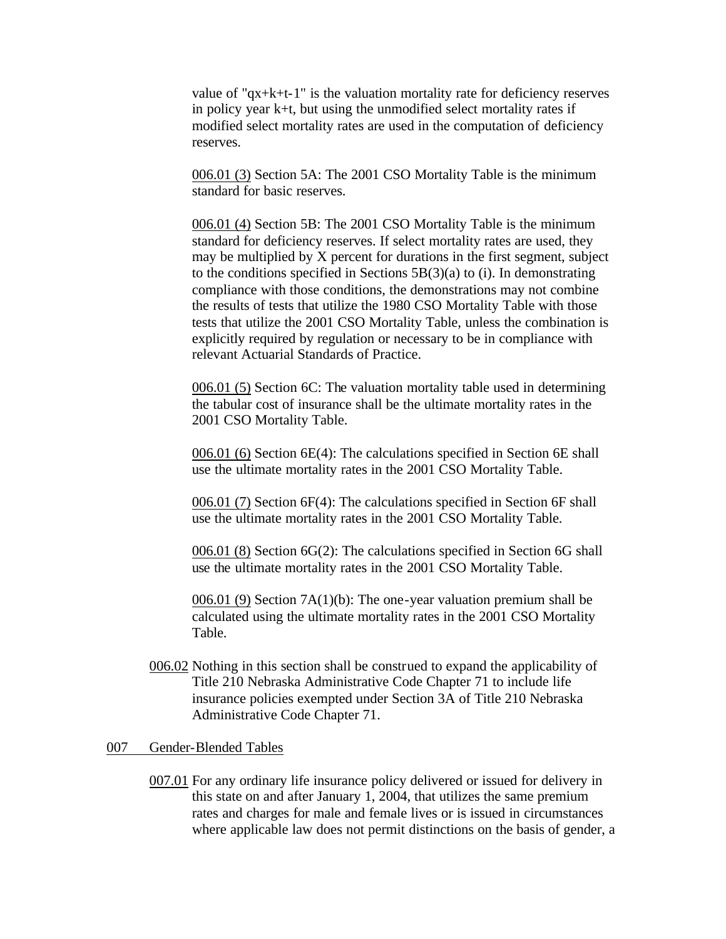value of "qx+k+t-1" is the valuation mortality rate for deficiency reserves in policy year k+t, but using the unmodified select mortality rates if modified select mortality rates are used in the computation of deficiency reserves.

006.01 (3) Section 5A: The 2001 CSO Mortality Table is the minimum standard for basic reserves.

006.01 (4) Section 5B: The 2001 CSO Mortality Table is the minimum standard for deficiency reserves. If select mortality rates are used, they may be multiplied by X percent for durations in the first segment, subject to the conditions specified in Sections  $5B(3)(a)$  to (i). In demonstrating compliance with those conditions, the demonstrations may not combine the results of tests that utilize the 1980 CSO Mortality Table with those tests that utilize the 2001 CSO Mortality Table, unless the combination is explicitly required by regulation or necessary to be in compliance with relevant Actuarial Standards of Practice.

006.01 (5) Section 6C: The valuation mortality table used in determining the tabular cost of insurance shall be the ultimate mortality rates in the 2001 CSO Mortality Table.

006.01 (6) Section 6E(4): The calculations specified in Section 6E shall use the ultimate mortality rates in the 2001 CSO Mortality Table.

006.01 (7) Section 6F(4): The calculations specified in Section 6F shall use the ultimate mortality rates in the 2001 CSO Mortality Table.

006.01 (8) Section 6G(2): The calculations specified in Section 6G shall use the ultimate mortality rates in the 2001 CSO Mortality Table.

006.01 (9) Section 7A(1)(b): The one-year valuation premium shall be calculated using the ultimate mortality rates in the 2001 CSO Mortality Table.

006.02 Nothing in this section shall be construed to expand the applicability of Title 210 Nebraska Administrative Code Chapter 71 to include life insurance policies exempted under Section 3A of Title 210 Nebraska Administrative Code Chapter 71.

#### 007 Gender-Blended Tables

007.01 For any ordinary life insurance policy delivered or issued for delivery in this state on and after January 1, 2004, that utilizes the same premium rates and charges for male and female lives or is issued in circumstances where applicable law does not permit distinctions on the basis of gender, a